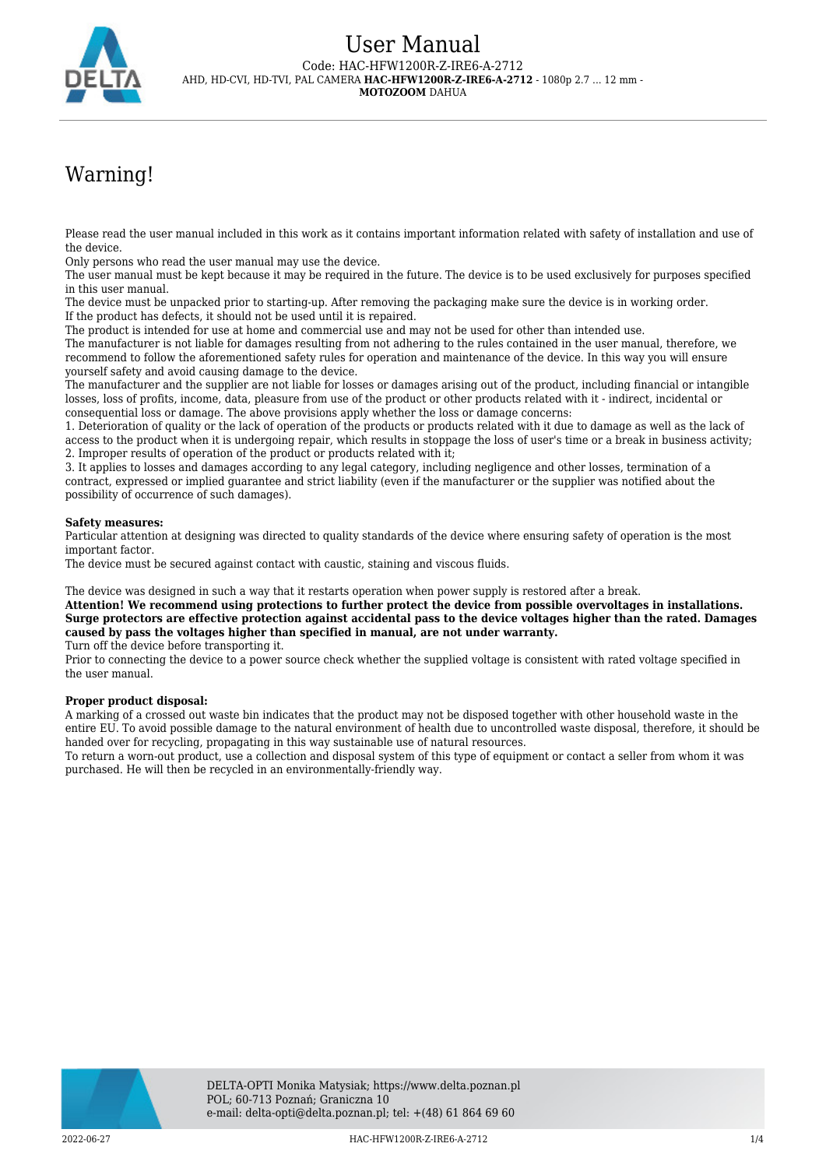

# Warning!

Please read the user manual included in this work as it contains important information related with safety of installation and use of the device.

Only persons who read the user manual may use the device.

The user manual must be kept because it may be required in the future. The device is to be used exclusively for purposes specified in this user manual.

The device must be unpacked prior to starting-up. After removing the packaging make sure the device is in working order. If the product has defects, it should not be used until it is repaired.

The product is intended for use at home and commercial use and may not be used for other than intended use.

The manufacturer is not liable for damages resulting from not adhering to the rules contained in the user manual, therefore, we recommend to follow the aforementioned safety rules for operation and maintenance of the device. In this way you will ensure yourself safety and avoid causing damage to the device.

The manufacturer and the supplier are not liable for losses or damages arising out of the product, including financial or intangible losses, loss of profits, income, data, pleasure from use of the product or other products related with it - indirect, incidental or consequential loss or damage. The above provisions apply whether the loss or damage concerns:

1. Deterioration of quality or the lack of operation of the products or products related with it due to damage as well as the lack of access to the product when it is undergoing repair, which results in stoppage the loss of user's time or a break in business activity; 2. Improper results of operation of the product or products related with it;

3. It applies to losses and damages according to any legal category, including negligence and other losses, termination of a contract, expressed or implied guarantee and strict liability (even if the manufacturer or the supplier was notified about the possibility of occurrence of such damages).

#### **Safety measures:**

Particular attention at designing was directed to quality standards of the device where ensuring safety of operation is the most important factor.

The device must be secured against contact with caustic, staining and viscous fluids.

The device was designed in such a way that it restarts operation when power supply is restored after a break.

**Attention! We recommend using protections to further protect the device from possible overvoltages in installations. Surge protectors are effective protection against accidental pass to the device voltages higher than the rated. Damages caused by pass the voltages higher than specified in manual, are not under warranty.**

Turn off the device before transporting it.

Prior to connecting the device to a power source check whether the supplied voltage is consistent with rated voltage specified in the user manual.

#### **Proper product disposal:**

A marking of a crossed out waste bin indicates that the product may not be disposed together with other household waste in the entire EU. To avoid possible damage to the natural environment of health due to uncontrolled waste disposal, therefore, it should be handed over for recycling, propagating in this way sustainable use of natural resources.

To return a worn-out product, use a collection and disposal system of this type of equipment or contact a seller from whom it was purchased. He will then be recycled in an environmentally-friendly way.

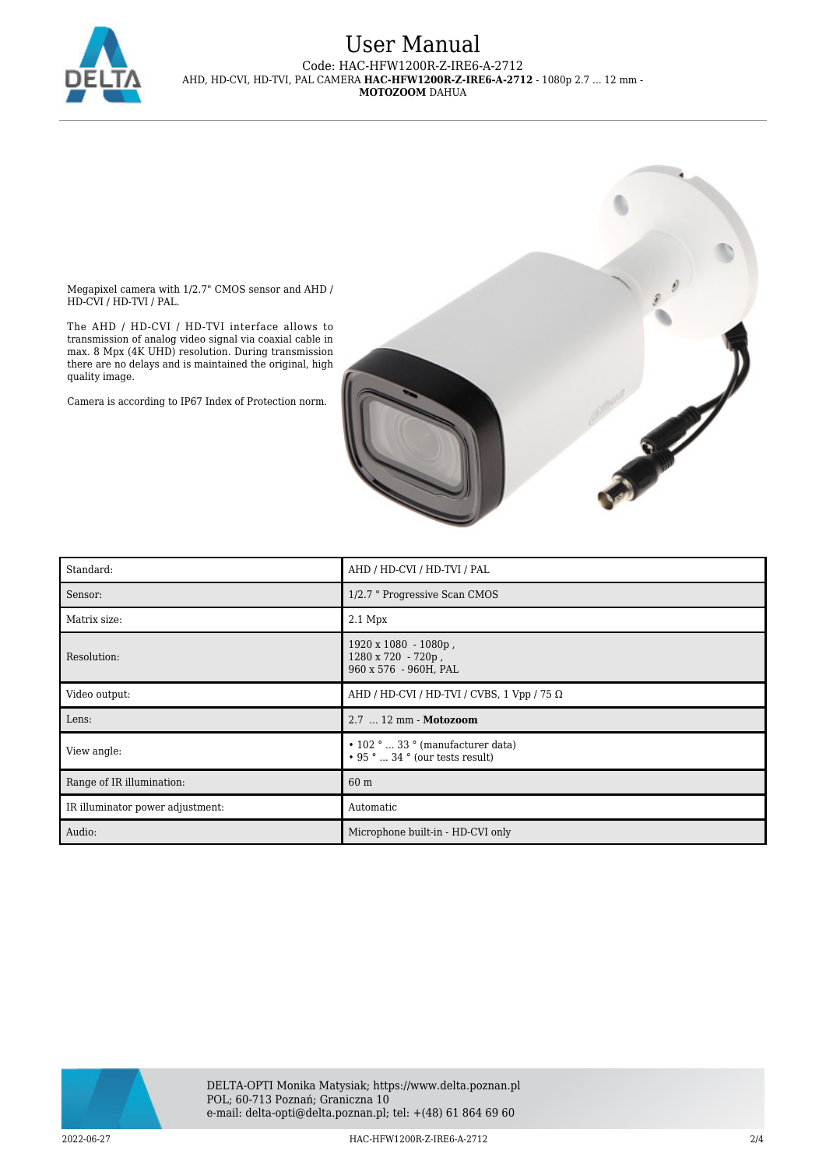

### User Manual Code: HAC-HFW1200R-Z-IRE6-A-2712 AHD, HD-CVI, HD-TVI, PAL CAMERA **HAC-HFW1200R-Z-IRE6-A-2712** - 1080p 2.7 ... 12 mm - **MOTOZOOM** DAHUA

Megapixel camera with 1/2.7" CMOS sensor and AHD / HD-CVI / HD-TVI / PAL.

The AHD / HD-CVI / HD-TVI interface allows to transmission of analog video signal via coaxial cable in max. 8 Mpx (4K UHD) resolution. During transmission there are no delays and is maintained the original, high quality image.

Camera is according to IP67 Index of Protection norm.



| Standard:                        | AHD / HD-CVI / HD-TVI / PAL                                                      |
|----------------------------------|----------------------------------------------------------------------------------|
| Sensor:                          | 1/2.7 " Progressive Scan CMOS                                                    |
| Matrix size:                     | $2.1$ Mpx                                                                        |
| Resolution:                      | $1920 \times 1080 - 1080p$ ,<br>1280 x 720 - 720p,<br>960 x 576 - 960H, PAL      |
| Video output:                    | AHD / HD-CVI / HD-TVI / CVBS, 1 Vpp / 75 $\Omega$                                |
| Lens:                            | 2.7  12 mm - Motozoom                                                            |
| View angle:                      | $\cdot$ 102 °  33 ° (manufacturer data)<br>$\cdot$ 95 °  34 ° (our tests result) |
| Range of IR illumination:        | 60 m                                                                             |
| IR illuminator power adjustment: | Automatic                                                                        |
| Audio:                           | Microphone built-in - HD-CVI only                                                |

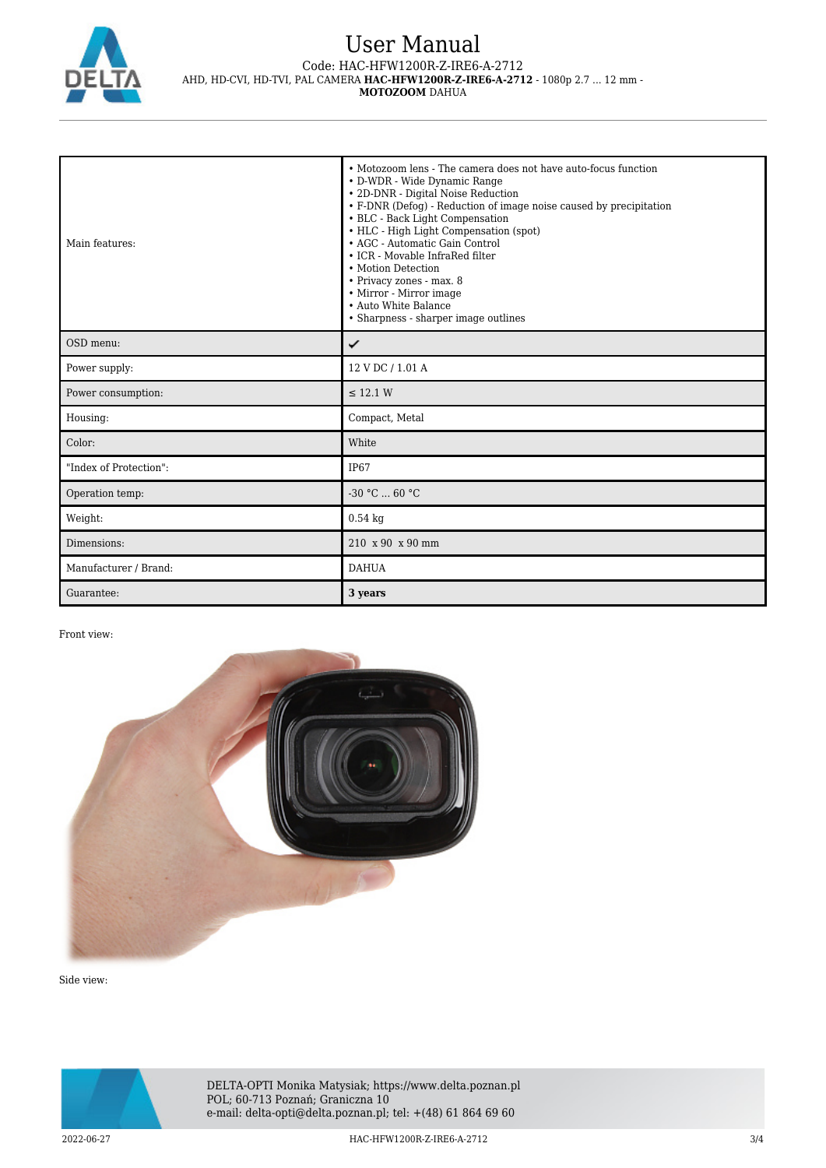

# User Manual Code: HAC-HFW1200R-Z-IRE6-A-2712 AHD, HD-CVI, HD-TVI, PAL CAMERA **HAC-HFW1200R-Z-IRE6-A-2712** - 1080p 2.7 ... 12 mm -

**MOTOZOOM** DAHUA

| Main features: | • Motozoom lens - The camera does not have auto-focus function<br>• D-WDR - Wide Dynamic Range<br>• 2D-DNR - Digital Noise Reduction<br>• F-DNR (Defog) - Reduction of image noise caused by precipitation<br>• BLC - Back Light Compensation<br>• HLC - High Light Compensation (spot)<br>• AGC - Automatic Gain Control<br>• ICR - Movable InfraRed filter<br>• Motion Detection<br>• Privacy zones - max. 8<br>• Mirror - Mirror image<br>• Auto White Balance<br>• Sharpness - sharper image outlines |
|----------------|-----------------------------------------------------------------------------------------------------------------------------------------------------------------------------------------------------------------------------------------------------------------------------------------------------------------------------------------------------------------------------------------------------------------------------------------------------------------------------------------------------------|
| OSD menu:      |                                                                                                                                                                                                                                                                                                                                                                                                                                                                                                           |
| Power supply:  | 12 V DC / 1.01 A                                                                                                                                                                                                                                                                                                                                                                                                                                                                                          |

OSD Power supply:  $\parallel$  12 V DC / 1.01 A Power consumption:  $\leq 12.1 \text{ W}$ Housing: Compact, Metal Color: White "Index of Protection": IP67 Operation temp:  $\begin{bmatrix} -30 \text{ °C} \dots \text{ 60} \text{ °C} \end{bmatrix}$ Weight:  $0.54 \text{ kg}$ Dimensions: 210 x 90 x 90 mm Manufacturer / Brand: DAHUA Guarantee: **3 years** 

#### Front view:



Side view: